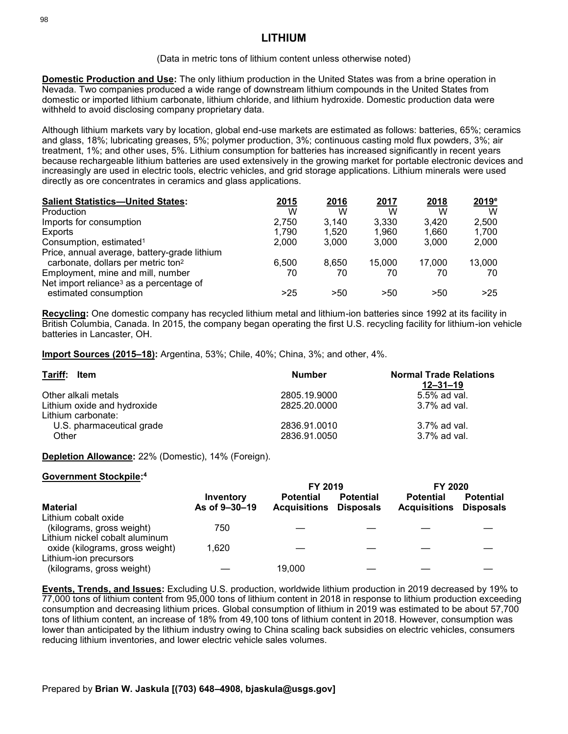## (Data in metric tons of lithium content unless otherwise noted)

**Domestic Production and Use:** The only lithium production in the United States was from a brine operation in Nevada. Two companies produced a wide range of downstream lithium compounds in the United States from domestic or imported lithium carbonate, lithium chloride, and lithium hydroxide. Domestic production data were withheld to avoid disclosing company proprietary data.

Although lithium markets vary by location, global end-use markets are estimated as follows: batteries, 65%; ceramics and glass, 18%; lubricating greases, 5%; polymer production, 3%; continuous casting mold flux powders, 3%; air treatment, 1%; and other uses, 5%. Lithium consumption for batteries has increased significantly in recent years because rechargeable lithium batteries are used extensively in the growing market for portable electronic devices and increasingly are used in electric tools, electric vehicles, and grid storage applications. Lithium minerals were used directly as ore concentrates in ceramics and glass applications.

| <b>Salient Statistics-United States:</b>            | 2015  | 2016  | 2017   | 2018   | 2019 <sup>e</sup> |
|-----------------------------------------------------|-------|-------|--------|--------|-------------------|
| Production                                          | W     | W     | W      | W      | W                 |
| Imports for consumption                             | 2.750 | 3.140 | 3.330  | 3.420  | 2.500             |
| Exports                                             | 1.790 | 1.520 | 1,960  | 1,660  | 1,700             |
| Consumption, estimated <sup>1</sup>                 | 2.000 | 3.000 | 3.000  | 3.000  | 2,000             |
| Price, annual average, battery-grade lithium        |       |       |        |        |                   |
| carbonate, dollars per metric ton <sup>2</sup>      | 6.500 | 8.650 | 15.000 | 17.000 | 13,000            |
| Employment, mine and mill, number                   | 70    | 70    | 70     | 70     | 70                |
| Net import reliance <sup>3</sup> as a percentage of |       |       |        |        |                   |
| estimated consumption                               | >25   | >50   | >50    | >50    | >25               |

**Recycling:** One domestic company has recycled lithium metal and lithium-ion batteries since 1992 at its facility in British Columbia, Canada. In 2015, the company began operating the first U.S. recycling facility for lithium-ion vehicle batteries in Lancaster, OH.

**Import Sources (2015–18):** Argentina, 53%; Chile, 40%; China, 3%; and other, 4%.

| Tariff: Item                                      | <b>Number</b>                | <b>Normal Trade Relations</b><br>12–31–19 |  |
|---------------------------------------------------|------------------------------|-------------------------------------------|--|
| Other alkali metals                               | 2805.19.9000                 | $5.5\%$ ad val.                           |  |
| Lithium oxide and hydroxide<br>Lithium carbonate: | 2825.20.0000                 | $3.7\%$ ad val.                           |  |
| U.S. pharmaceutical grade<br>Other                | 2836.91.0010<br>2836.91.0050 | 3.7% ad val.<br>$3.7\%$ ad val.           |  |

**Depletion Allowance:** 22% (Domestic), 14% (Foreign).

## **Government Stockpile: 4**

|                                                                   |                            | FY 2019                                 |                                      | FY 2020                                 |                                      |
|-------------------------------------------------------------------|----------------------------|-----------------------------------------|--------------------------------------|-----------------------------------------|--------------------------------------|
| <b>Material</b>                                                   | Inventory<br>As of 9-30-19 | <b>Potential</b><br><b>Acquisitions</b> | <b>Potential</b><br><b>Disposals</b> | <b>Potential</b><br><b>Acquisitions</b> | <b>Potential</b><br><b>Disposals</b> |
| Lithium cobalt oxide                                              |                            |                                         |                                      |                                         |                                      |
| (kilograms, gross weight)                                         | 750                        |                                         |                                      |                                         |                                      |
| Lithium nickel cobalt aluminum<br>oxide (kilograms, gross weight) | 1.620                      |                                         |                                      |                                         |                                      |
| Lithium-ion precursors<br>(kilograms, gross weight)               |                            | 19,000                                  |                                      |                                         |                                      |

**Events, Trends, and Issues:** Excluding U.S. production, worldwide lithium production in 2019 decreased by 19% to 77,000 tons of lithium content from 95,000 tons of lithium content in 2018 in response to lithium production exceeding consumption and decreasing lithium prices. Global consumption of lithium in 2019 was estimated to be about 57,700 tons of lithium content, an increase of 18% from 49,100 tons of lithium content in 2018. However, consumption was lower than anticipated by the lithium industry owing to China scaling back subsidies on electric vehicles, consumers reducing lithium inventories, and lower electric vehicle sales volumes.